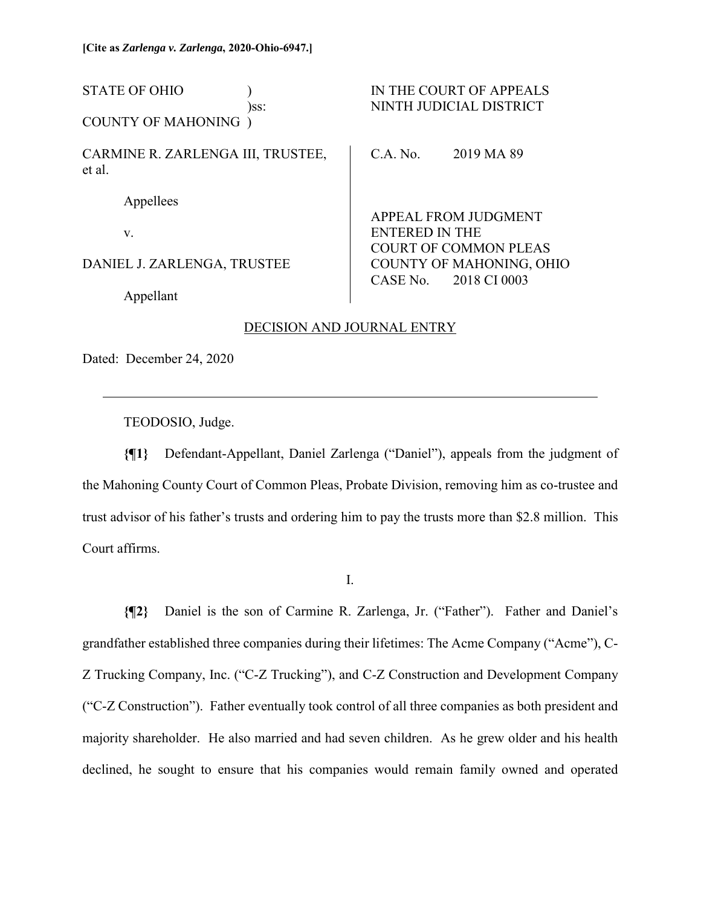| <b>STATE OF OHIO</b><br>)ss:                | IN THE COURT OF APPEALS<br>NINTH JUDICIAL DISTRICT                                |
|---------------------------------------------|-----------------------------------------------------------------------------------|
| <b>COUNTY OF MAHONING</b> )                 |                                                                                   |
| CARMINE R. ZARLENGA III, TRUSTEE,<br>et al. | C.A. No.<br>2019 MA 89                                                            |
| Appellees                                   |                                                                                   |
| V.                                          | APPEAL FROM JUDGMENT<br><b>ENTERED IN THE</b>                                     |
| DANIEL J. ZARLENGA, TRUSTEE                 | <b>COURT OF COMMON PLEAS</b><br>COUNTY OF MAHONING, OHIO<br>CASE No. 2018 CI 0003 |
| Appellant                                   |                                                                                   |

# DECISION AND JOURNAL ENTRY

Dated: December 24, 2020

 $\overline{a}$ 

TEODOSIO, Judge.

**{¶1}** Defendant-Appellant, Daniel Zarlenga ("Daniel"), appeals from the judgment of the Mahoning County Court of Common Pleas, Probate Division, removing him as co-trustee and trust advisor of his father's trusts and ordering him to pay the trusts more than \$2.8 million. This Court affirms.

I.

**{¶2}** Daniel is the son of Carmine R. Zarlenga, Jr. ("Father"). Father and Daniel's grandfather established three companies during their lifetimes: The Acme Company ("Acme"), C-Z Trucking Company, Inc. ("C-Z Trucking"), and C-Z Construction and Development Company ("C-Z Construction"). Father eventually took control of all three companies as both president and majority shareholder. He also married and had seven children. As he grew older and his health declined, he sought to ensure that his companies would remain family owned and operated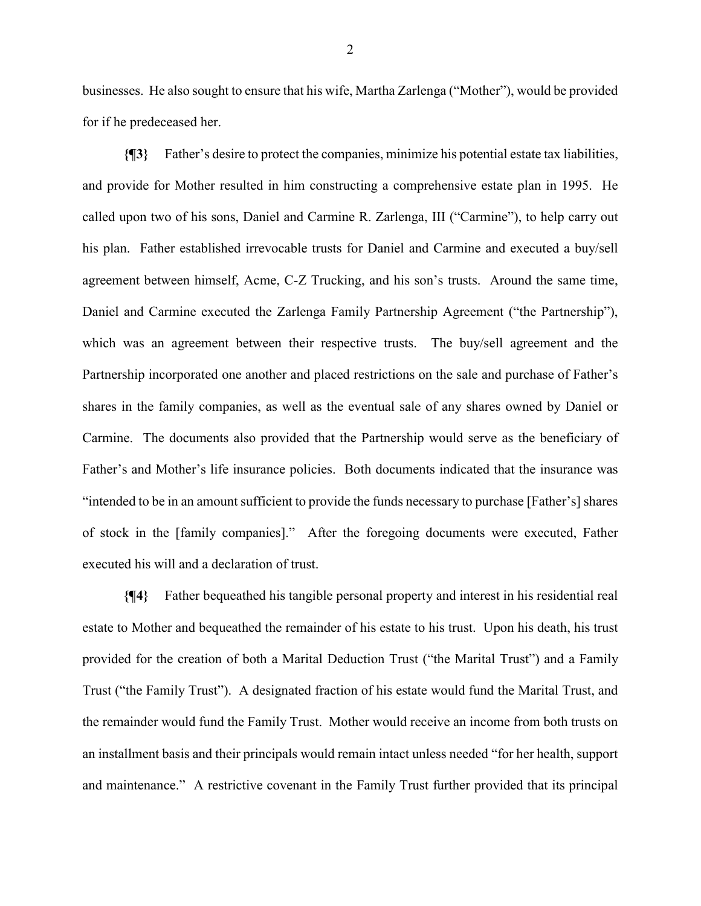businesses. He also sought to ensure that his wife, Martha Zarlenga ("Mother"), would be provided for if he predeceased her.

**{¶3}** Father's desire to protect the companies, minimize his potential estate tax liabilities, and provide for Mother resulted in him constructing a comprehensive estate plan in 1995. He called upon two of his sons, Daniel and Carmine R. Zarlenga, III ("Carmine"), to help carry out his plan. Father established irrevocable trusts for Daniel and Carmine and executed a buy/sell agreement between himself, Acme, C-Z Trucking, and his son's trusts. Around the same time, Daniel and Carmine executed the Zarlenga Family Partnership Agreement ("the Partnership"), which was an agreement between their respective trusts. The buy/sell agreement and the Partnership incorporated one another and placed restrictions on the sale and purchase of Father's shares in the family companies, as well as the eventual sale of any shares owned by Daniel or Carmine. The documents also provided that the Partnership would serve as the beneficiary of Father's and Mother's life insurance policies. Both documents indicated that the insurance was "intended to be in an amount sufficient to provide the funds necessary to purchase [Father's] shares of stock in the [family companies]." After the foregoing documents were executed, Father executed his will and a declaration of trust.

**{¶4}** Father bequeathed his tangible personal property and interest in his residential real estate to Mother and bequeathed the remainder of his estate to his trust. Upon his death, his trust provided for the creation of both a Marital Deduction Trust ("the Marital Trust") and a Family Trust ("the Family Trust"). A designated fraction of his estate would fund the Marital Trust, and the remainder would fund the Family Trust. Mother would receive an income from both trusts on an installment basis and their principals would remain intact unless needed "for her health, support and maintenance." A restrictive covenant in the Family Trust further provided that its principal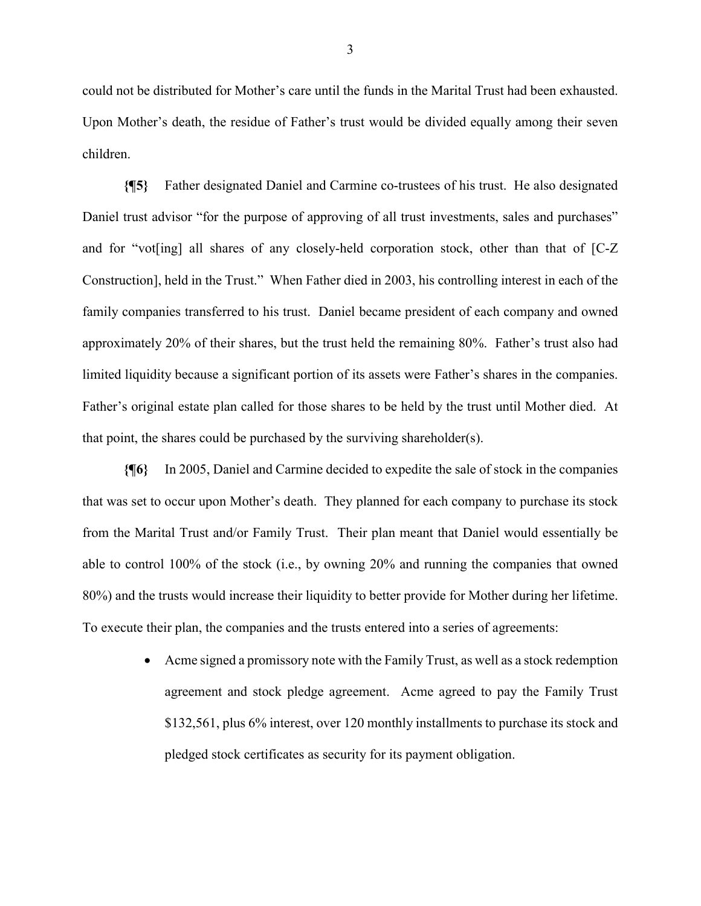could not be distributed for Mother's care until the funds in the Marital Trust had been exhausted. Upon Mother's death, the residue of Father's trust would be divided equally among their seven children.

**{¶5}** Father designated Daniel and Carmine co-trustees of his trust. He also designated Daniel trust advisor "for the purpose of approving of all trust investments, sales and purchases" and for "vot[ing] all shares of any closely-held corporation stock, other than that of [C-Z Construction], held in the Trust." When Father died in 2003, his controlling interest in each of the family companies transferred to his trust. Daniel became president of each company and owned approximately 20% of their shares, but the trust held the remaining 80%. Father's trust also had limited liquidity because a significant portion of its assets were Father's shares in the companies. Father's original estate plan called for those shares to be held by the trust until Mother died. At that point, the shares could be purchased by the surviving shareholder(s).

**{¶6}** In 2005, Daniel and Carmine decided to expedite the sale of stock in the companies that was set to occur upon Mother's death. They planned for each company to purchase its stock from the Marital Trust and/or Family Trust. Their plan meant that Daniel would essentially be able to control 100% of the stock (i.e., by owning 20% and running the companies that owned 80%) and the trusts would increase their liquidity to better provide for Mother during her lifetime. To execute their plan, the companies and the trusts entered into a series of agreements:

> Acme signed a promissory note with the Family Trust, as well as a stock redemption agreement and stock pledge agreement. Acme agreed to pay the Family Trust \$132,561, plus 6% interest, over 120 monthly installments to purchase its stock and pledged stock certificates as security for its payment obligation.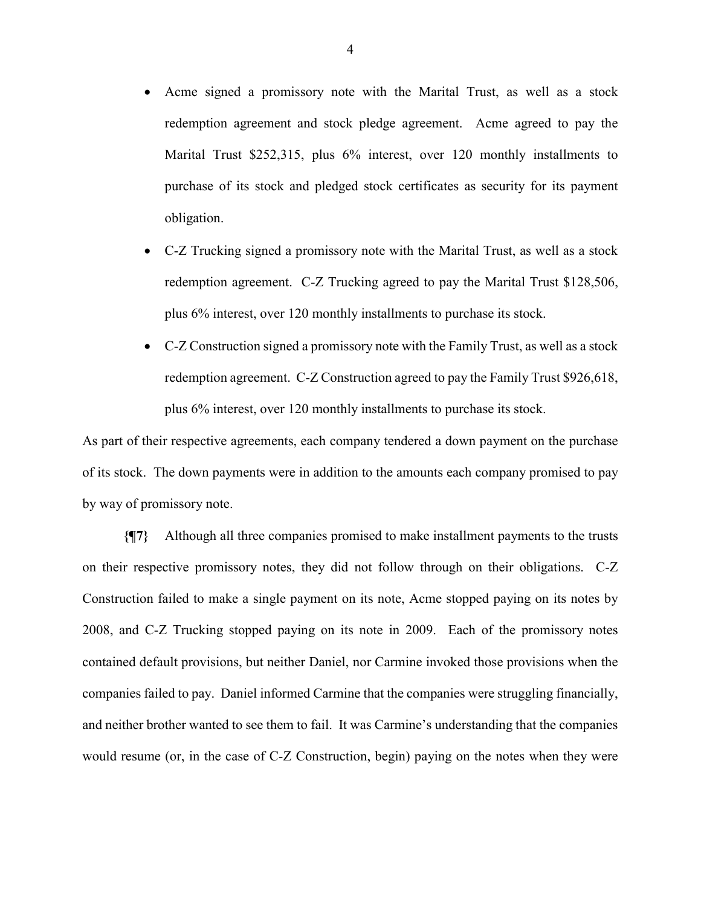- Acme signed a promissory note with the Marital Trust, as well as a stock redemption agreement and stock pledge agreement. Acme agreed to pay the Marital Trust \$252,315, plus 6% interest, over 120 monthly installments to purchase of its stock and pledged stock certificates as security for its payment obligation.
- C-Z Trucking signed a promissory note with the Marital Trust, as well as a stock redemption agreement. C-Z Trucking agreed to pay the Marital Trust \$128,506, plus 6% interest, over 120 monthly installments to purchase its stock.
- C-Z Construction signed a promissory note with the Family Trust, as well as a stock redemption agreement. C-Z Construction agreed to pay the Family Trust \$926,618, plus 6% interest, over 120 monthly installments to purchase its stock.

As part of their respective agreements, each company tendered a down payment on the purchase of its stock. The down payments were in addition to the amounts each company promised to pay by way of promissory note.

**{¶7}** Although all three companies promised to make installment payments to the trusts on their respective promissory notes, they did not follow through on their obligations. C-Z Construction failed to make a single payment on its note, Acme stopped paying on its notes by 2008, and C-Z Trucking stopped paying on its note in 2009. Each of the promissory notes contained default provisions, but neither Daniel, nor Carmine invoked those provisions when the companies failed to pay. Daniel informed Carmine that the companies were struggling financially, and neither brother wanted to see them to fail. It was Carmine's understanding that the companies would resume (or, in the case of C-Z Construction, begin) paying on the notes when they were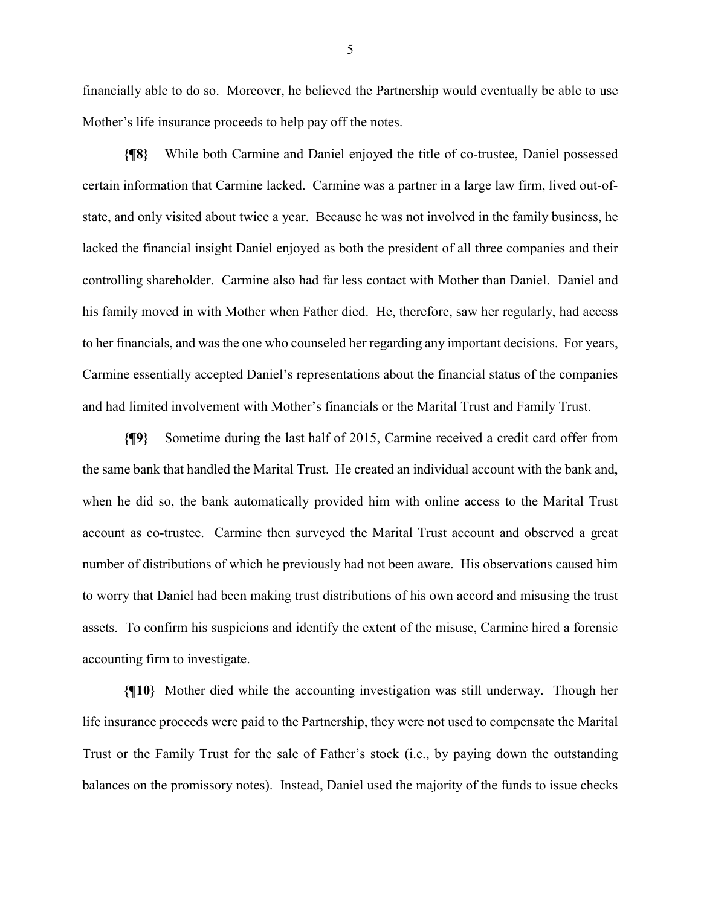financially able to do so. Moreover, he believed the Partnership would eventually be able to use Mother's life insurance proceeds to help pay off the notes.

**{¶8}** While both Carmine and Daniel enjoyed the title of co-trustee, Daniel possessed certain information that Carmine lacked. Carmine was a partner in a large law firm, lived out-ofstate, and only visited about twice a year. Because he was not involved in the family business, he lacked the financial insight Daniel enjoyed as both the president of all three companies and their controlling shareholder. Carmine also had far less contact with Mother than Daniel. Daniel and his family moved in with Mother when Father died. He, therefore, saw her regularly, had access to her financials, and was the one who counseled her regarding any important decisions. For years, Carmine essentially accepted Daniel's representations about the financial status of the companies and had limited involvement with Mother's financials or the Marital Trust and Family Trust.

**{¶9}** Sometime during the last half of 2015, Carmine received a credit card offer from the same bank that handled the Marital Trust. He created an individual account with the bank and, when he did so, the bank automatically provided him with online access to the Marital Trust account as co-trustee. Carmine then surveyed the Marital Trust account and observed a great number of distributions of which he previously had not been aware. His observations caused him to worry that Daniel had been making trust distributions of his own accord and misusing the trust assets. To confirm his suspicions and identify the extent of the misuse, Carmine hired a forensic accounting firm to investigate.

**{¶10}** Mother died while the accounting investigation was still underway. Though her life insurance proceeds were paid to the Partnership, they were not used to compensate the Marital Trust or the Family Trust for the sale of Father's stock (i.e., by paying down the outstanding balances on the promissory notes). Instead, Daniel used the majority of the funds to issue checks

5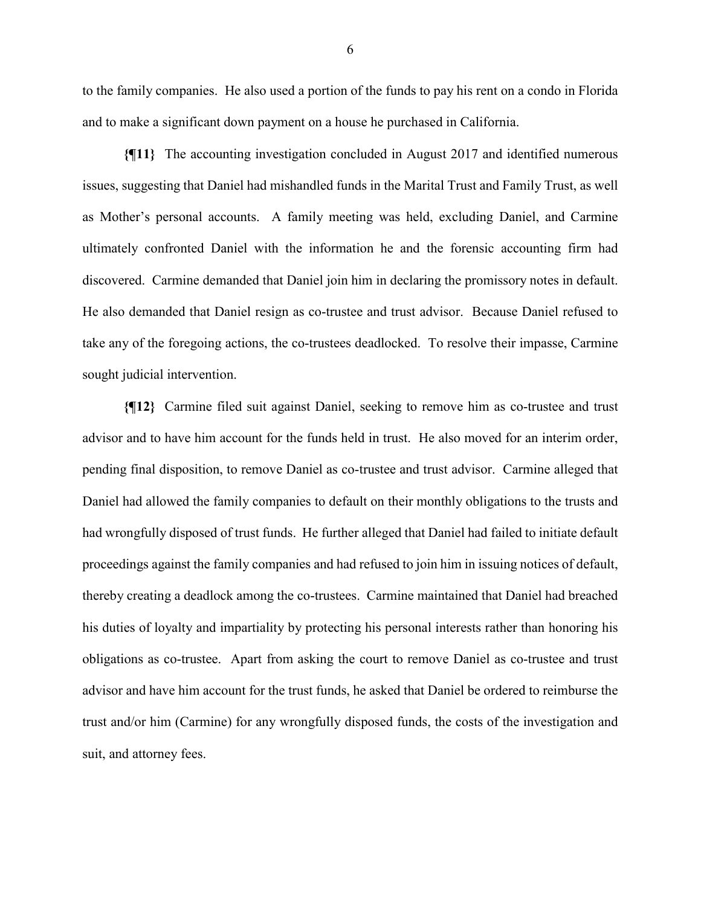to the family companies. He also used a portion of the funds to pay his rent on a condo in Florida and to make a significant down payment on a house he purchased in California.

**{¶11}** The accounting investigation concluded in August 2017 and identified numerous issues, suggesting that Daniel had mishandled funds in the Marital Trust and Family Trust, as well as Mother's personal accounts. A family meeting was held, excluding Daniel, and Carmine ultimately confronted Daniel with the information he and the forensic accounting firm had discovered. Carmine demanded that Daniel join him in declaring the promissory notes in default. He also demanded that Daniel resign as co-trustee and trust advisor. Because Daniel refused to take any of the foregoing actions, the co-trustees deadlocked. To resolve their impasse, Carmine sought judicial intervention.

**{¶12}** Carmine filed suit against Daniel, seeking to remove him as co-trustee and trust advisor and to have him account for the funds held in trust. He also moved for an interim order, pending final disposition, to remove Daniel as co-trustee and trust advisor. Carmine alleged that Daniel had allowed the family companies to default on their monthly obligations to the trusts and had wrongfully disposed of trust funds. He further alleged that Daniel had failed to initiate default proceedings against the family companies and had refused to join him in issuing notices of default, thereby creating a deadlock among the co-trustees. Carmine maintained that Daniel had breached his duties of loyalty and impartiality by protecting his personal interests rather than honoring his obligations as co-trustee. Apart from asking the court to remove Daniel as co-trustee and trust advisor and have him account for the trust funds, he asked that Daniel be ordered to reimburse the trust and/or him (Carmine) for any wrongfully disposed funds, the costs of the investigation and suit, and attorney fees.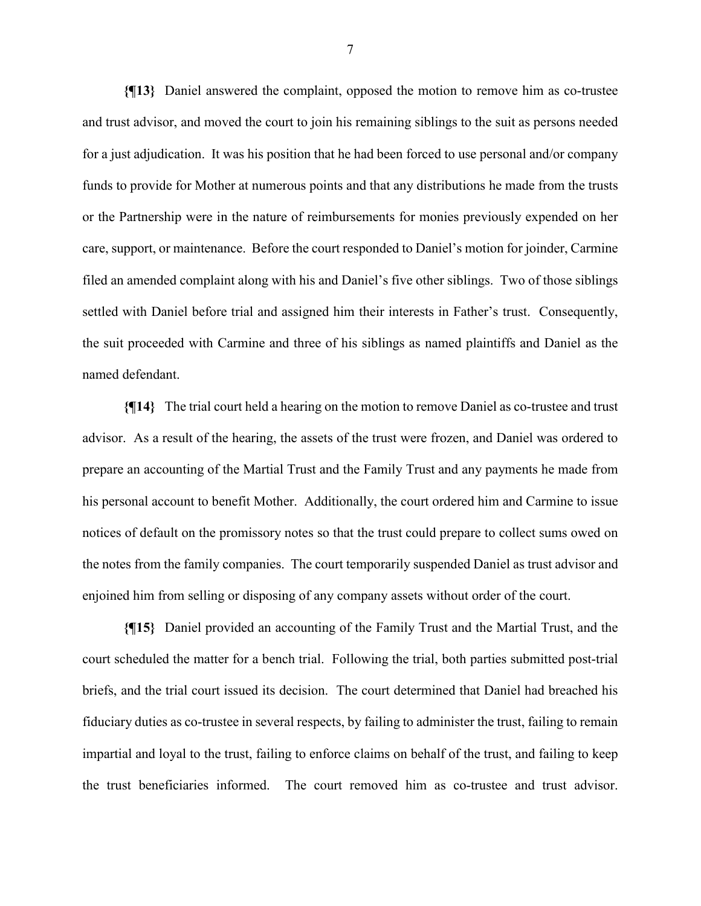**{¶13}** Daniel answered the complaint, opposed the motion to remove him as co-trustee and trust advisor, and moved the court to join his remaining siblings to the suit as persons needed for a just adjudication. It was his position that he had been forced to use personal and/or company funds to provide for Mother at numerous points and that any distributions he made from the trusts or the Partnership were in the nature of reimbursements for monies previously expended on her care, support, or maintenance. Before the court responded to Daniel's motion for joinder, Carmine filed an amended complaint along with his and Daniel's five other siblings. Two of those siblings settled with Daniel before trial and assigned him their interests in Father's trust. Consequently, the suit proceeded with Carmine and three of his siblings as named plaintiffs and Daniel as the named defendant.

**{¶14}** The trial court held a hearing on the motion to remove Daniel as co-trustee and trust advisor. As a result of the hearing, the assets of the trust were frozen, and Daniel was ordered to prepare an accounting of the Martial Trust and the Family Trust and any payments he made from his personal account to benefit Mother. Additionally, the court ordered him and Carmine to issue notices of default on the promissory notes so that the trust could prepare to collect sums owed on the notes from the family companies. The court temporarily suspended Daniel as trust advisor and enjoined him from selling or disposing of any company assets without order of the court.

**{¶15}** Daniel provided an accounting of the Family Trust and the Martial Trust, and the court scheduled the matter for a bench trial. Following the trial, both parties submitted post-trial briefs, and the trial court issued its decision. The court determined that Daniel had breached his fiduciary duties as co-trustee in several respects, by failing to administer the trust, failing to remain impartial and loyal to the trust, failing to enforce claims on behalf of the trust, and failing to keep the trust beneficiaries informed. The court removed him as co-trustee and trust advisor.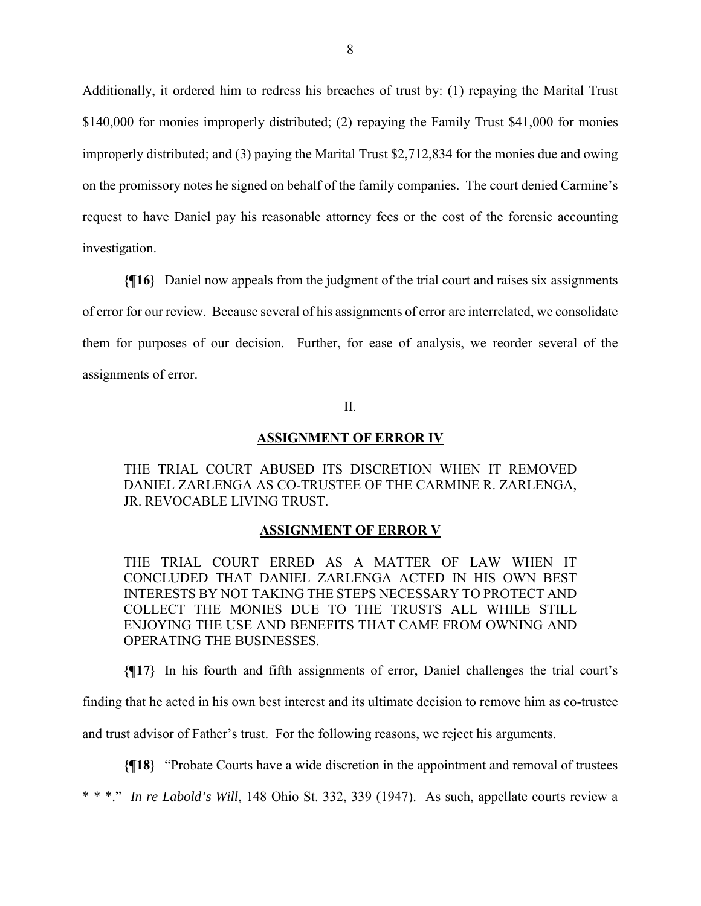Additionally, it ordered him to redress his breaches of trust by: (1) repaying the Marital Trust \$140,000 for monies improperly distributed; (2) repaying the Family Trust \$41,000 for monies improperly distributed; and (3) paying the Marital Trust \$2,712,834 for the monies due and owing on the promissory notes he signed on behalf of the family companies. The court denied Carmine's request to have Daniel pay his reasonable attorney fees or the cost of the forensic accounting investigation.

**{¶16}** Daniel now appeals from the judgment of the trial court and raises six assignments of error for our review. Because several of his assignments of error are interrelated, we consolidate them for purposes of our decision. Further, for ease of analysis, we reorder several of the assignments of error.

### II.

#### **ASSIGNMENT OF ERROR IV**

THE TRIAL COURT ABUSED ITS DISCRETION WHEN IT REMOVED DANIEL ZARLENGA AS CO-TRUSTEE OF THE CARMINE R. ZARLENGA, JR. REVOCABLE LIVING TRUST.

#### **ASSIGNMENT OF ERROR V**

THE TRIAL COURT ERRED AS A MATTER OF LAW WHEN IT CONCLUDED THAT DANIEL ZARLENGA ACTED IN HIS OWN BEST INTERESTS BY NOT TAKING THE STEPS NECESSARY TO PROTECT AND COLLECT THE MONIES DUE TO THE TRUSTS ALL WHILE STILL ENJOYING THE USE AND BENEFITS THAT CAME FROM OWNING AND OPERATING THE BUSINESSES.

**{¶17}** In his fourth and fifth assignments of error, Daniel challenges the trial court's

finding that he acted in his own best interest and its ultimate decision to remove him as co-trustee

and trust advisor of Father's trust. For the following reasons, we reject his arguments.

**{¶18}** "Probate Courts have a wide discretion in the appointment and removal of trustees

\* \* \*." *In re Labold's Will*, 148 Ohio St. 332, 339 (1947). As such, appellate courts review a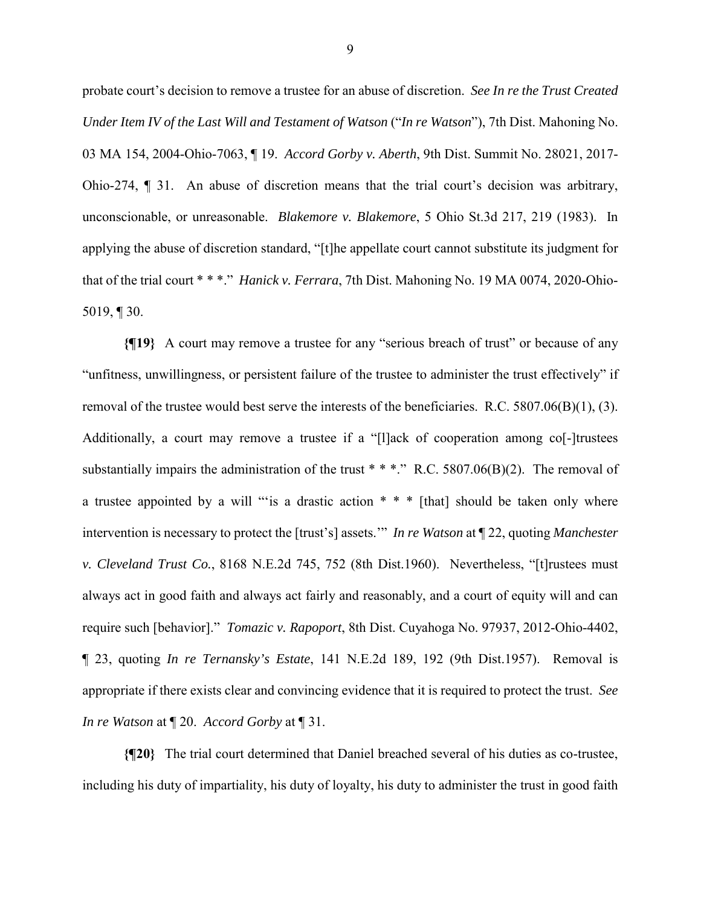probate court's decision to remove a trustee for an abuse of discretion. *See In re the Trust Created Under Item IV of the Last Will and Testament of Watson* ("*In re Watson*"), 7th Dist. Mahoning No. 03 MA 154, 2004-Ohio-7063, ¶ 19. *Accord Gorby v. Aberth*, 9th Dist. Summit No. 28021, 2017- Ohio-274, ¶ 31. An abuse of discretion means that the trial court's decision was arbitrary, unconscionable, or unreasonable. *Blakemore v. Blakemore*, 5 Ohio St.3d 217, 219 (1983). In applying the abuse of discretion standard, "[t]he appellate court cannot substitute its judgment for that of the trial court \* \* \*." *Hanick v. Ferrara*, 7th Dist. Mahoning No. 19 MA 0074, 2020-Ohio-5019, ¶ 30.

**{¶19}** A court may remove a trustee for any "serious breach of trust" or because of any "unfitness, unwillingness, or persistent failure of the trustee to administer the trust effectively" if removal of the trustee would best serve the interests of the beneficiaries. R.C.  $5807.06(B)(1)$ , (3). Additionally, a court may remove a trustee if a "[l]ack of cooperation among co<sup>[-</sup>]trustees substantially impairs the administration of the trust \* \* \*." R.C. 5807.06(B)(2). The removal of a trustee appointed by a will "'is a drastic action \* \* \* [that] should be taken only where intervention is necessary to protect the [trust's] assets.'" *In re Watson* at ¶ 22, quoting *Manchester v. Cleveland Trust Co.*, 8168 N.E.2d 745, 752 (8th Dist.1960). Nevertheless, "[t]rustees must always act in good faith and always act fairly and reasonably, and a court of equity will and can require such [behavior]." *Tomazic v. Rapoport*, 8th Dist. Cuyahoga No. 97937, 2012-Ohio-4402, ¶ 23, quoting *In re Ternansky's Estate*, 141 N.E.2d 189, 192 (9th Dist.1957). Removal is appropriate if there exists clear and convincing evidence that it is required to protect the trust. *See In re Watson* at ¶ 20. *Accord Gorby* at ¶ 31.

**{¶20}** The trial court determined that Daniel breached several of his duties as co-trustee, including his duty of impartiality, his duty of loyalty, his duty to administer the trust in good faith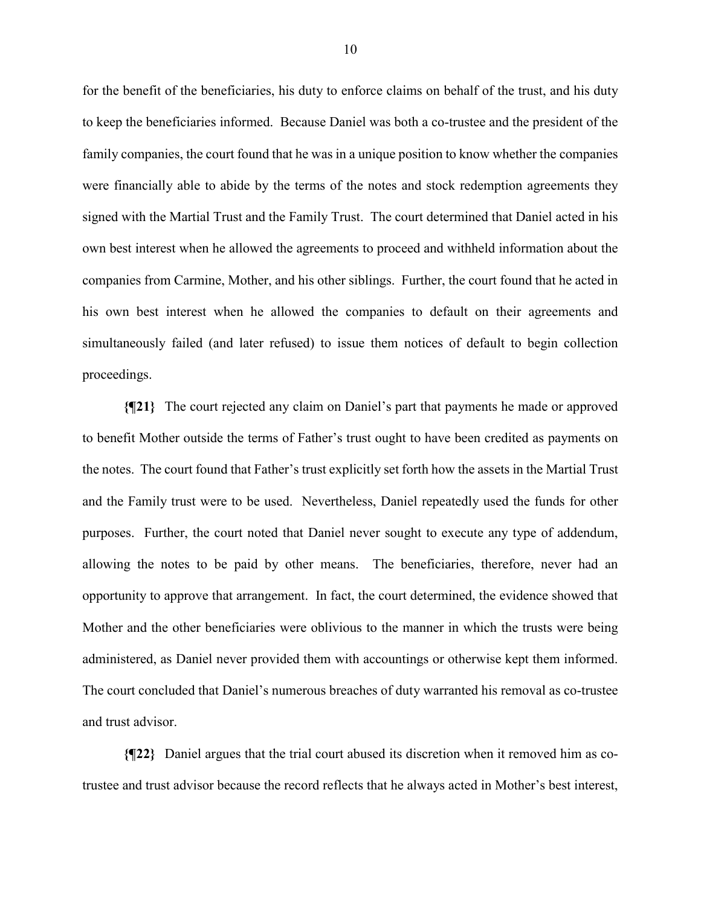for the benefit of the beneficiaries, his duty to enforce claims on behalf of the trust, and his duty to keep the beneficiaries informed. Because Daniel was both a co-trustee and the president of the family companies, the court found that he was in a unique position to know whether the companies were financially able to abide by the terms of the notes and stock redemption agreements they signed with the Martial Trust and the Family Trust. The court determined that Daniel acted in his own best interest when he allowed the agreements to proceed and withheld information about the companies from Carmine, Mother, and his other siblings. Further, the court found that he acted in his own best interest when he allowed the companies to default on their agreements and simultaneously failed (and later refused) to issue them notices of default to begin collection proceedings.

**{¶21}** The court rejected any claim on Daniel's part that payments he made or approved to benefit Mother outside the terms of Father's trust ought to have been credited as payments on the notes. The court found that Father's trust explicitly set forth how the assets in the Martial Trust and the Family trust were to be used. Nevertheless, Daniel repeatedly used the funds for other purposes. Further, the court noted that Daniel never sought to execute any type of addendum, allowing the notes to be paid by other means. The beneficiaries, therefore, never had an opportunity to approve that arrangement. In fact, the court determined, the evidence showed that Mother and the other beneficiaries were oblivious to the manner in which the trusts were being administered, as Daniel never provided them with accountings or otherwise kept them informed. The court concluded that Daniel's numerous breaches of duty warranted his removal as co-trustee and trust advisor.

**{¶22}** Daniel argues that the trial court abused its discretion when it removed him as cotrustee and trust advisor because the record reflects that he always acted in Mother's best interest,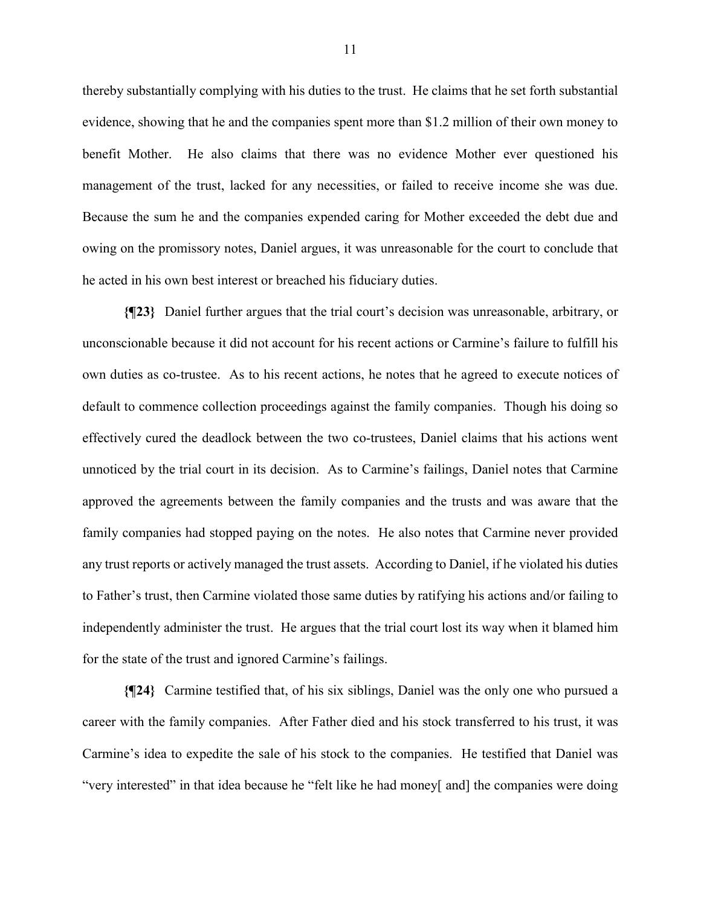thereby substantially complying with his duties to the trust. He claims that he set forth substantial evidence, showing that he and the companies spent more than \$1.2 million of their own money to benefit Mother. He also claims that there was no evidence Mother ever questioned his management of the trust, lacked for any necessities, or failed to receive income she was due. Because the sum he and the companies expended caring for Mother exceeded the debt due and owing on the promissory notes, Daniel argues, it was unreasonable for the court to conclude that he acted in his own best interest or breached his fiduciary duties.

**{¶23}** Daniel further argues that the trial court's decision was unreasonable, arbitrary, or unconscionable because it did not account for his recent actions or Carmine's failure to fulfill his own duties as co-trustee. As to his recent actions, he notes that he agreed to execute notices of default to commence collection proceedings against the family companies. Though his doing so effectively cured the deadlock between the two co-trustees, Daniel claims that his actions went unnoticed by the trial court in its decision. As to Carmine's failings, Daniel notes that Carmine approved the agreements between the family companies and the trusts and was aware that the family companies had stopped paying on the notes. He also notes that Carmine never provided any trust reports or actively managed the trust assets. According to Daniel, if he violated his duties to Father's trust, then Carmine violated those same duties by ratifying his actions and/or failing to independently administer the trust. He argues that the trial court lost its way when it blamed him for the state of the trust and ignored Carmine's failings.

**{¶24}** Carmine testified that, of his six siblings, Daniel was the only one who pursued a career with the family companies. After Father died and his stock transferred to his trust, it was Carmine's idea to expedite the sale of his stock to the companies. He testified that Daniel was "very interested" in that idea because he "felt like he had money[ and] the companies were doing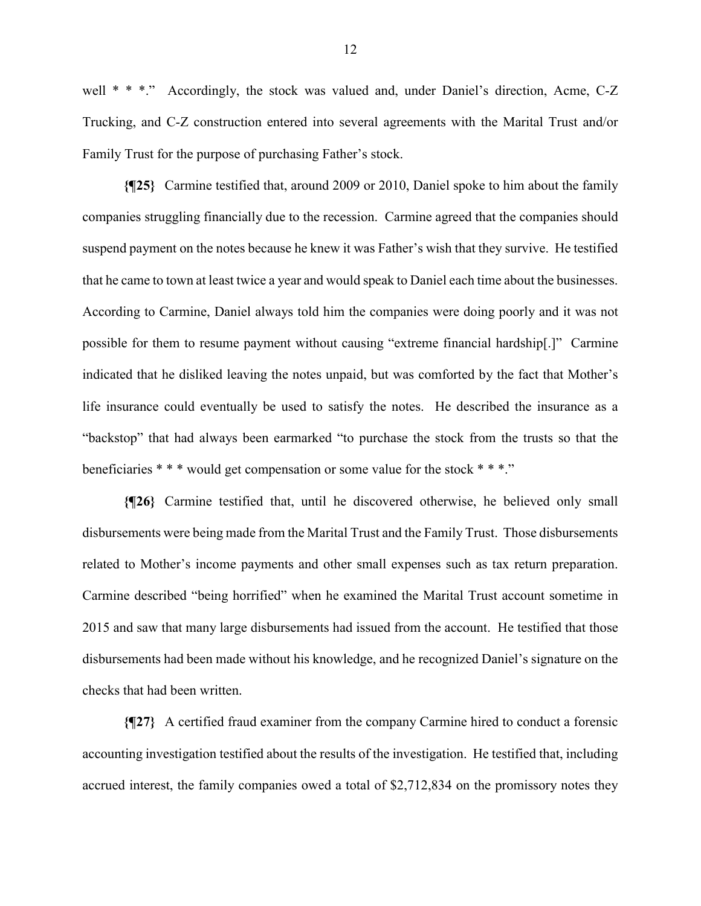well \* \* \*." Accordingly, the stock was valued and, under Daniel's direction, Acme, C-Z Trucking, and C-Z construction entered into several agreements with the Marital Trust and/or Family Trust for the purpose of purchasing Father's stock.

**{¶25}** Carmine testified that, around 2009 or 2010, Daniel spoke to him about the family companies struggling financially due to the recession. Carmine agreed that the companies should suspend payment on the notes because he knew it was Father's wish that they survive. He testified that he came to town at least twice a year and would speak to Daniel each time about the businesses. According to Carmine, Daniel always told him the companies were doing poorly and it was not possible for them to resume payment without causing "extreme financial hardship[.]" Carmine indicated that he disliked leaving the notes unpaid, but was comforted by the fact that Mother's life insurance could eventually be used to satisfy the notes. He described the insurance as a "backstop" that had always been earmarked "to purchase the stock from the trusts so that the beneficiaries \* \* \* would get compensation or some value for the stock \* \* \*."

**{¶26}** Carmine testified that, until he discovered otherwise, he believed only small disbursements were being made from the Marital Trust and the Family Trust. Those disbursements related to Mother's income payments and other small expenses such as tax return preparation. Carmine described "being horrified" when he examined the Marital Trust account sometime in 2015 and saw that many large disbursements had issued from the account. He testified that those disbursements had been made without his knowledge, and he recognized Daniel's signature on the checks that had been written.

**{¶27}** A certified fraud examiner from the company Carmine hired to conduct a forensic accounting investigation testified about the results of the investigation. He testified that, including accrued interest, the family companies owed a total of \$2,712,834 on the promissory notes they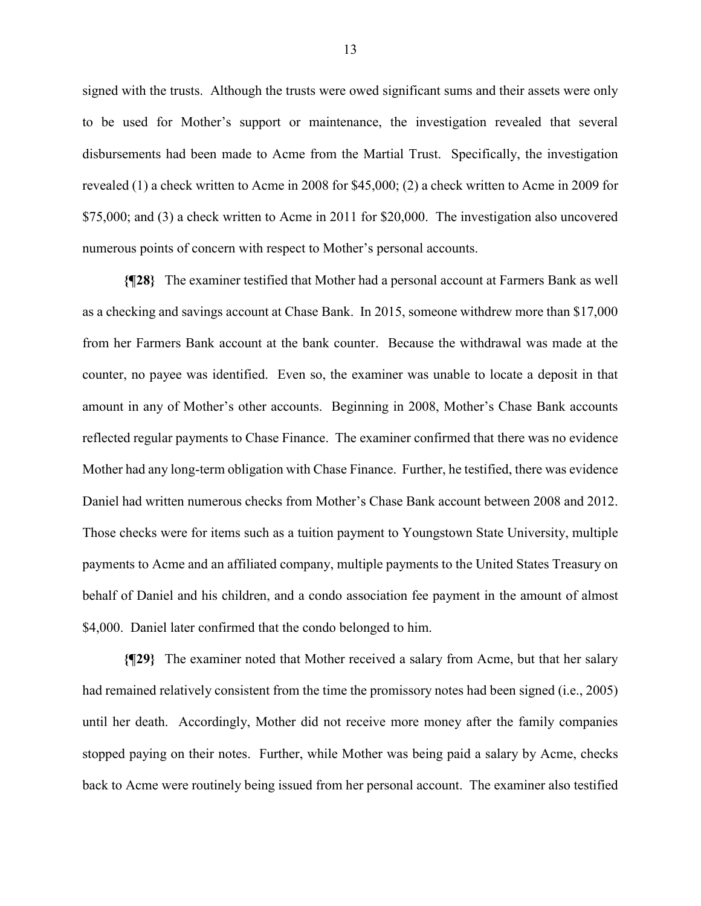signed with the trusts. Although the trusts were owed significant sums and their assets were only to be used for Mother's support or maintenance, the investigation revealed that several disbursements had been made to Acme from the Martial Trust. Specifically, the investigation revealed (1) a check written to Acme in 2008 for \$45,000; (2) a check written to Acme in 2009 for \$75,000; and (3) a check written to Acme in 2011 for \$20,000. The investigation also uncovered numerous points of concern with respect to Mother's personal accounts.

**{¶28}** The examiner testified that Mother had a personal account at Farmers Bank as well as a checking and savings account at Chase Bank. In 2015, someone withdrew more than \$17,000 from her Farmers Bank account at the bank counter. Because the withdrawal was made at the counter, no payee was identified. Even so, the examiner was unable to locate a deposit in that amount in any of Mother's other accounts. Beginning in 2008, Mother's Chase Bank accounts reflected regular payments to Chase Finance. The examiner confirmed that there was no evidence Mother had any long-term obligation with Chase Finance. Further, he testified, there was evidence Daniel had written numerous checks from Mother's Chase Bank account between 2008 and 2012. Those checks were for items such as a tuition payment to Youngstown State University, multiple payments to Acme and an affiliated company, multiple payments to the United States Treasury on behalf of Daniel and his children, and a condo association fee payment in the amount of almost \$4,000. Daniel later confirmed that the condo belonged to him.

**{¶29}** The examiner noted that Mother received a salary from Acme, but that her salary had remained relatively consistent from the time the promissory notes had been signed (i.e., 2005) until her death. Accordingly, Mother did not receive more money after the family companies stopped paying on their notes. Further, while Mother was being paid a salary by Acme, checks back to Acme were routinely being issued from her personal account. The examiner also testified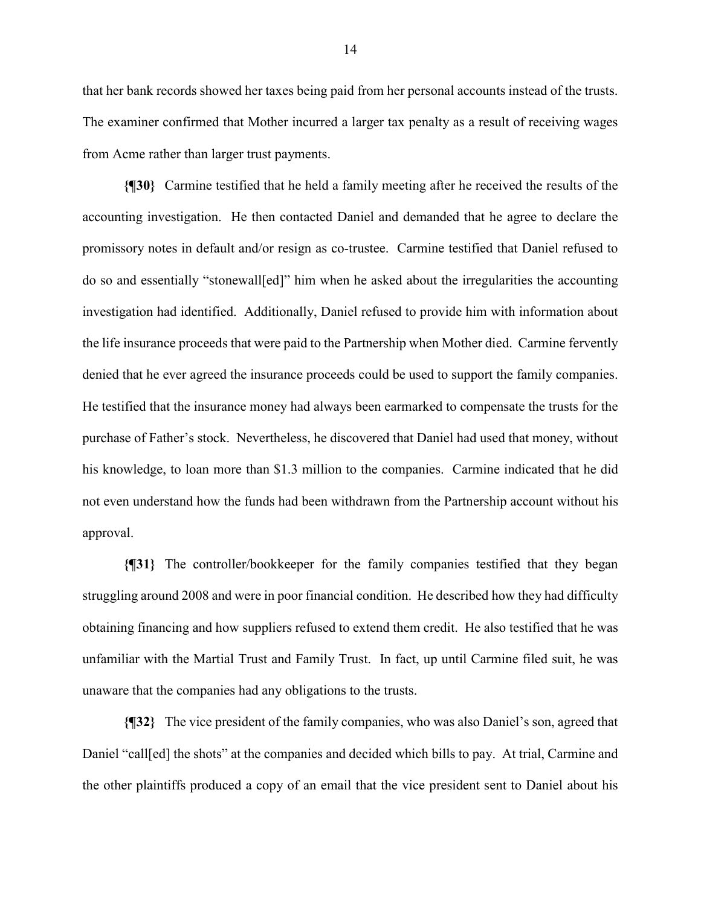that her bank records showed her taxes being paid from her personal accounts instead of the trusts. The examiner confirmed that Mother incurred a larger tax penalty as a result of receiving wages from Acme rather than larger trust payments.

**{¶30}** Carmine testified that he held a family meeting after he received the results of the accounting investigation. He then contacted Daniel and demanded that he agree to declare the promissory notes in default and/or resign as co-trustee. Carmine testified that Daniel refused to do so and essentially "stonewall[ed]" him when he asked about the irregularities the accounting investigation had identified. Additionally, Daniel refused to provide him with information about the life insurance proceeds that were paid to the Partnership when Mother died. Carmine fervently denied that he ever agreed the insurance proceeds could be used to support the family companies. He testified that the insurance money had always been earmarked to compensate the trusts for the purchase of Father's stock. Nevertheless, he discovered that Daniel had used that money, without his knowledge, to loan more than \$1.3 million to the companies. Carmine indicated that he did not even understand how the funds had been withdrawn from the Partnership account without his approval.

**{¶31}** The controller/bookkeeper for the family companies testified that they began struggling around 2008 and were in poor financial condition. He described how they had difficulty obtaining financing and how suppliers refused to extend them credit. He also testified that he was unfamiliar with the Martial Trust and Family Trust. In fact, up until Carmine filed suit, he was unaware that the companies had any obligations to the trusts.

**{¶32}** The vice president of the family companies, who was also Daniel's son, agreed that Daniel "call[ed] the shots" at the companies and decided which bills to pay. At trial, Carmine and the other plaintiffs produced a copy of an email that the vice president sent to Daniel about his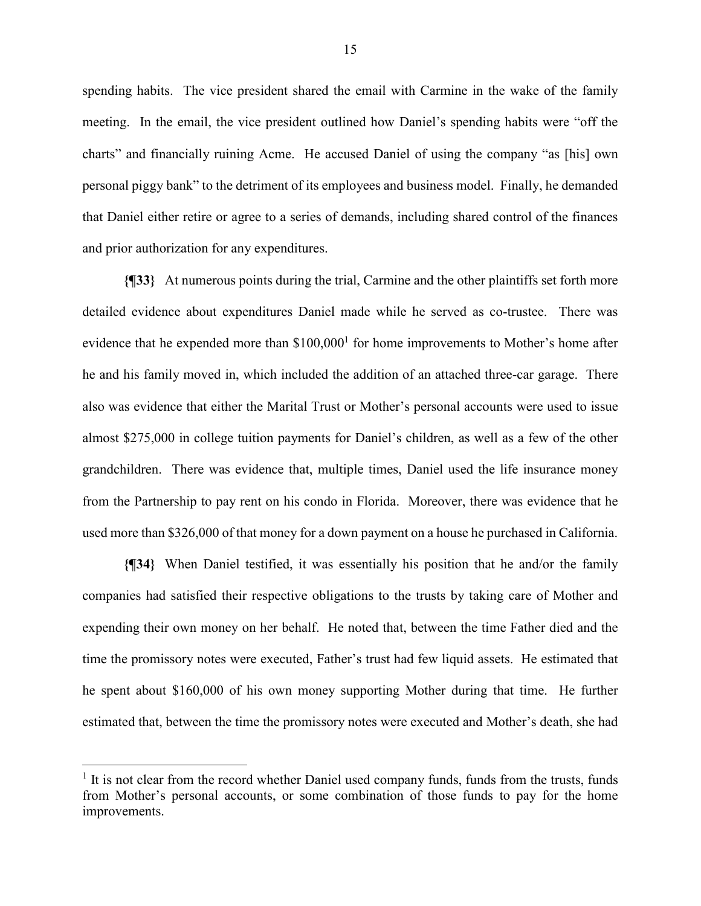spending habits. The vice president shared the email with Carmine in the wake of the family meeting. In the email, the vice president outlined how Daniel's spending habits were "off the charts" and financially ruining Acme. He accused Daniel of using the company "as [his] own personal piggy bank" to the detriment of its employees and business model. Finally, he demanded that Daniel either retire or agree to a series of demands, including shared control of the finances and prior authorization for any expenditures.

**{¶33}** At numerous points during the trial, Carmine and the other plaintiffs set forth more detailed evidence about expenditures Daniel made while he served as co-trustee. There was evidence that he expended more than  $$100,000$ <sup>1</sup> for home improvements to Mother's home after he and his family moved in, which included the addition of an attached three-car garage. There also was evidence that either the Marital Trust or Mother's personal accounts were used to issue almost \$275,000 in college tuition payments for Daniel's children, as well as a few of the other grandchildren. There was evidence that, multiple times, Daniel used the life insurance money from the Partnership to pay rent on his condo in Florida. Moreover, there was evidence that he used more than \$326,000 of that money for a down payment on a house he purchased in California.

**{¶34}** When Daniel testified, it was essentially his position that he and/or the family companies had satisfied their respective obligations to the trusts by taking care of Mother and expending their own money on her behalf. He noted that, between the time Father died and the time the promissory notes were executed, Father's trust had few liquid assets. He estimated that he spent about \$160,000 of his own money supporting Mother during that time. He further estimated that, between the time the promissory notes were executed and Mother's death, she had

 $\overline{a}$ 

<sup>&</sup>lt;sup>1</sup> It is not clear from the record whether Daniel used company funds, funds from the trusts, funds from Mother's personal accounts, or some combination of those funds to pay for the home improvements.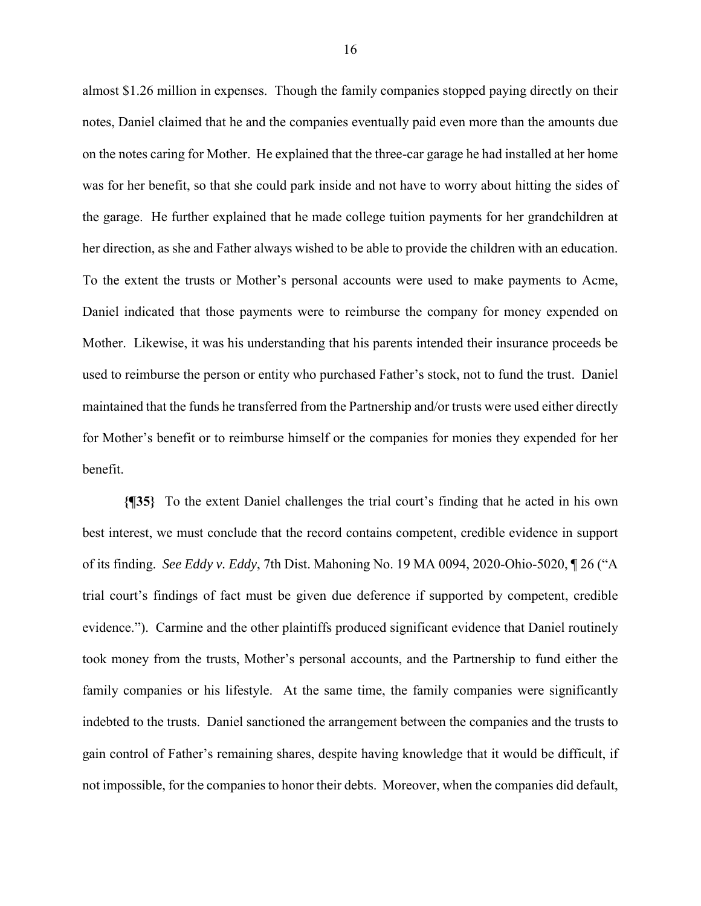almost \$1.26 million in expenses. Though the family companies stopped paying directly on their notes, Daniel claimed that he and the companies eventually paid even more than the amounts due on the notes caring for Mother. He explained that the three-car garage he had installed at her home was for her benefit, so that she could park inside and not have to worry about hitting the sides of the garage. He further explained that he made college tuition payments for her grandchildren at her direction, as she and Father always wished to be able to provide the children with an education. To the extent the trusts or Mother's personal accounts were used to make payments to Acme, Daniel indicated that those payments were to reimburse the company for money expended on Mother. Likewise, it was his understanding that his parents intended their insurance proceeds be used to reimburse the person or entity who purchased Father's stock, not to fund the trust. Daniel maintained that the funds he transferred from the Partnership and/or trusts were used either directly for Mother's benefit or to reimburse himself or the companies for monies they expended for her benefit.

**{¶35}** To the extent Daniel challenges the trial court's finding that he acted in his own best interest, we must conclude that the record contains competent, credible evidence in support of its finding. *See Eddy v. Eddy*, 7th Dist. Mahoning No. 19 MA 0094, 2020-Ohio-5020, ¶ 26 ("A trial court's findings of fact must be given due deference if supported by competent, credible evidence."). Carmine and the other plaintiffs produced significant evidence that Daniel routinely took money from the trusts, Mother's personal accounts, and the Partnership to fund either the family companies or his lifestyle. At the same time, the family companies were significantly indebted to the trusts. Daniel sanctioned the arrangement between the companies and the trusts to gain control of Father's remaining shares, despite having knowledge that it would be difficult, if not impossible, for the companies to honor their debts. Moreover, when the companies did default,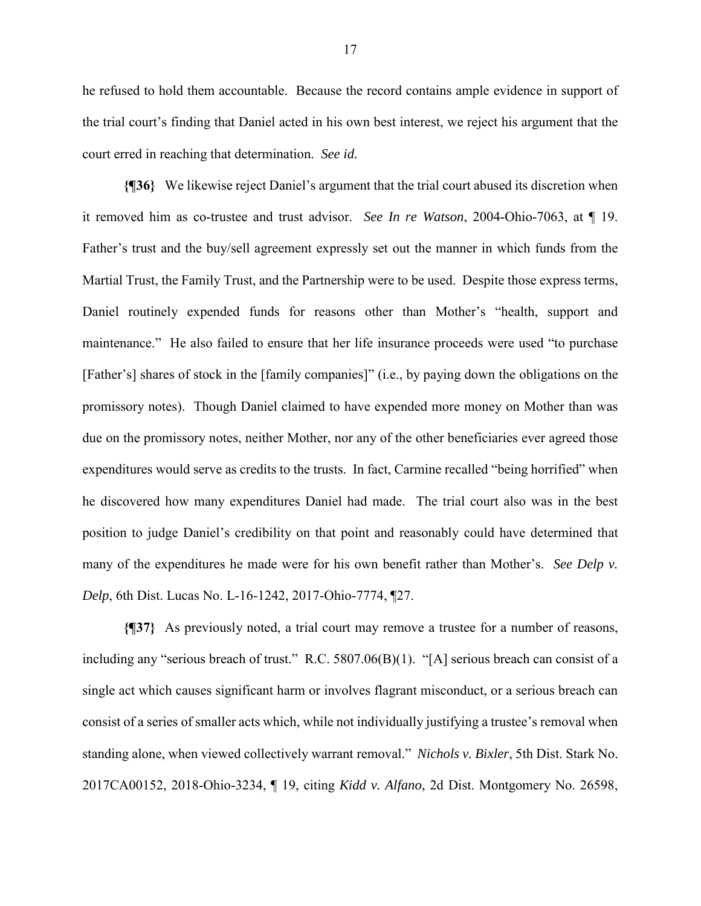he refused to hold them accountable. Because the record contains ample evidence in support of the trial court's finding that Daniel acted in his own best interest, we reject his argument that the court erred in reaching that determination. *See id.*

**{¶36}** We likewise reject Daniel's argument that the trial court abused its discretion when it removed him as co-trustee and trust advisor. *See In re Watson*, 2004-Ohio-7063, at ¶ 19. Father's trust and the buy/sell agreement expressly set out the manner in which funds from the Martial Trust, the Family Trust, and the Partnership were to be used. Despite those express terms, Daniel routinely expended funds for reasons other than Mother's "health, support and maintenance." He also failed to ensure that her life insurance proceeds were used "to purchase [Father's] shares of stock in the [family companies]" (i.e., by paying down the obligations on the promissory notes). Though Daniel claimed to have expended more money on Mother than was due on the promissory notes, neither Mother, nor any of the other beneficiaries ever agreed those expenditures would serve as credits to the trusts. In fact, Carmine recalled "being horrified" when he discovered how many expenditures Daniel had made. The trial court also was in the best position to judge Daniel's credibility on that point and reasonably could have determined that many of the expenditures he made were for his own benefit rather than Mother's. *See Delp v. Delp*, 6th Dist. Lucas No. L-16-1242, 2017-Ohio-7774, ¶27.

**{¶37}** As previously noted, a trial court may remove a trustee for a number of reasons, including any "serious breach of trust." R.C. 5807.06(B)(1). "[A] serious breach can consist of a single act which causes significant harm or involves flagrant misconduct, or a serious breach can consist of a series of smaller acts which, while not individually justifying a trustee's removal when standing alone, when viewed collectively warrant removal." *Nichols v. Bixler*, 5th Dist. Stark No. 2017CA00152, 2018-Ohio-3234, ¶ 19, citing *Kidd v. Alfano*, 2d Dist. Montgomery No. 26598,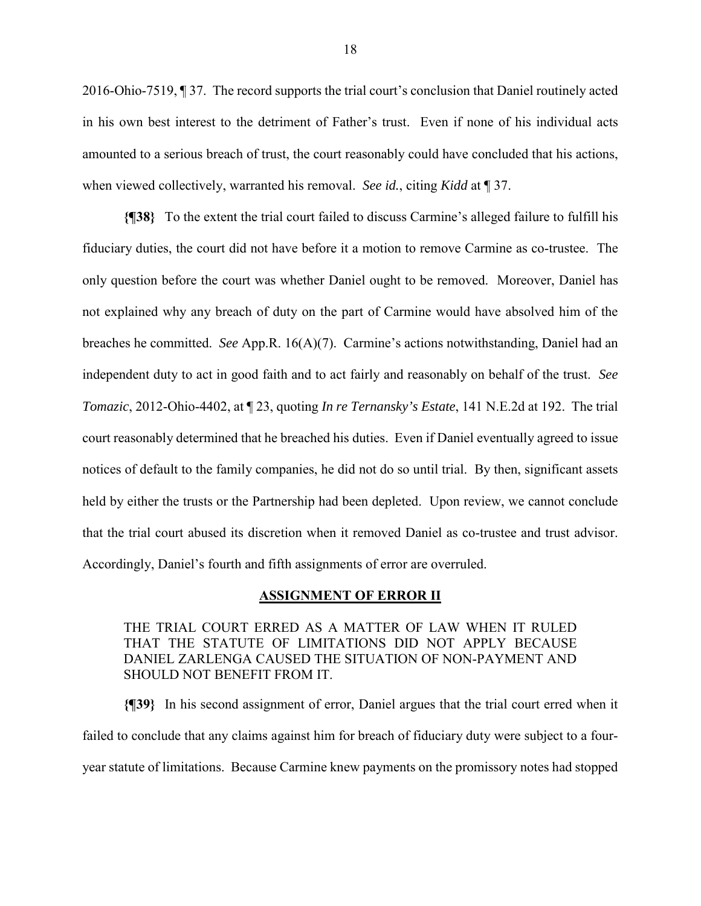2016-Ohio-7519, ¶ 37. The record supports the trial court's conclusion that Daniel routinely acted in his own best interest to the detriment of Father's trust. Even if none of his individual acts amounted to a serious breach of trust, the court reasonably could have concluded that his actions, when viewed collectively, warranted his removal. *See id.*, citing *Kidd* at ¶ 37.

**{¶38}** To the extent the trial court failed to discuss Carmine's alleged failure to fulfill his fiduciary duties, the court did not have before it a motion to remove Carmine as co-trustee. The only question before the court was whether Daniel ought to be removed. Moreover, Daniel has not explained why any breach of duty on the part of Carmine would have absolved him of the breaches he committed. *See* App.R. 16(A)(7). Carmine's actions notwithstanding, Daniel had an independent duty to act in good faith and to act fairly and reasonably on behalf of the trust. *See Tomazic*, 2012-Ohio-4402, at ¶ 23, quoting *In re Ternansky's Estate*, 141 N.E.2d at 192. The trial court reasonably determined that he breached his duties. Even if Daniel eventually agreed to issue notices of default to the family companies, he did not do so until trial. By then, significant assets held by either the trusts or the Partnership had been depleted. Upon review, we cannot conclude that the trial court abused its discretion when it removed Daniel as co-trustee and trust advisor. Accordingly, Daniel's fourth and fifth assignments of error are overruled.

#### **ASSIGNMENT OF ERROR II**

THE TRIAL COURT ERRED AS A MATTER OF LAW WHEN IT RULED THAT THE STATUTE OF LIMITATIONS DID NOT APPLY BECAUSE DANIEL ZARLENGA CAUSED THE SITUATION OF NON-PAYMENT AND SHOULD NOT BENEFIT FROM IT.

**{¶39}** In his second assignment of error, Daniel argues that the trial court erred when it failed to conclude that any claims against him for breach of fiduciary duty were subject to a fouryear statute of limitations. Because Carmine knew payments on the promissory notes had stopped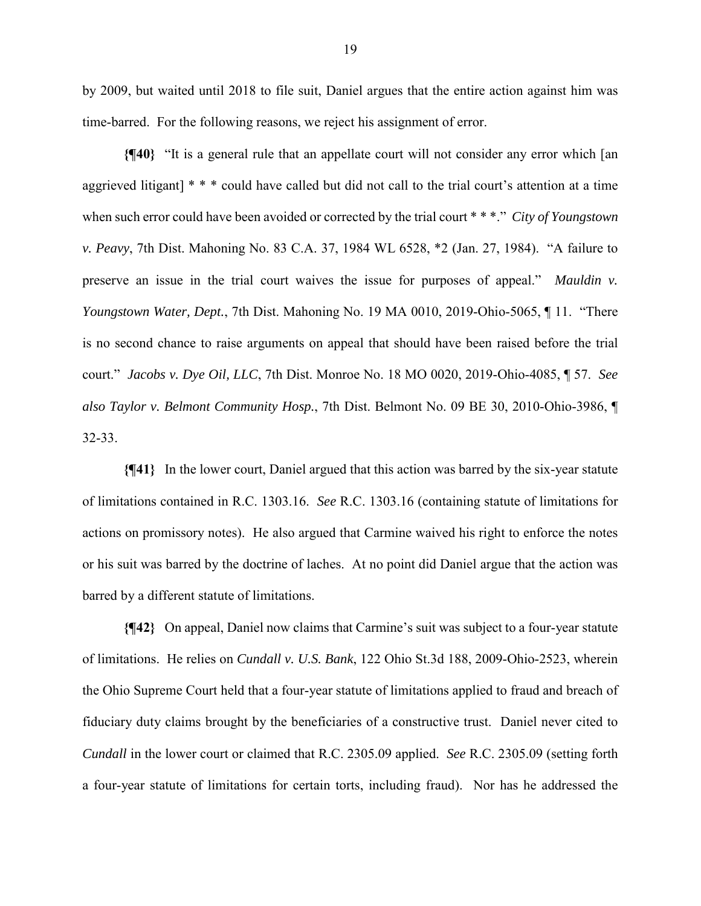by 2009, but waited until 2018 to file suit, Daniel argues that the entire action against him was time-barred. For the following reasons, we reject his assignment of error.

**{¶40}** "It is a general rule that an appellate court will not consider any error which [an aggrieved litigant] \* \* \* could have called but did not call to the trial court's attention at a time when such error could have been avoided or corrected by the trial court \* \* \*." *City of Youngstown v. Peavy*, 7th Dist. Mahoning No. 83 C.A. 37, 1984 WL 6528, \*2 (Jan. 27, 1984). "A failure to preserve an issue in the trial court waives the issue for purposes of appeal." *Mauldin v. Youngstown Water, Dept.*, 7th Dist. Mahoning No. 19 MA 0010, 2019-Ohio-5065, ¶ 11. "There is no second chance to raise arguments on appeal that should have been raised before the trial court." *Jacobs v. Dye Oil, LLC*, 7th Dist. Monroe No. 18 MO 0020, 2019-Ohio-4085, ¶ 57. *See also Taylor v. Belmont Community Hosp.*, 7th Dist. Belmont No. 09 BE 30, 2010-Ohio-3986, ¶ 32-33.

**{¶41}** In the lower court, Daniel argued that this action was barred by the six-year statute of limitations contained in R.C. 1303.16. *See* R.C. 1303.16 (containing statute of limitations for actions on promissory notes). He also argued that Carmine waived his right to enforce the notes or his suit was barred by the doctrine of laches. At no point did Daniel argue that the action was barred by a different statute of limitations.

**{¶42}** On appeal, Daniel now claims that Carmine's suit was subject to a four-year statute of limitations. He relies on *Cundall v. U.S. Bank*, 122 Ohio St.3d 188, 2009-Ohio-2523, wherein the Ohio Supreme Court held that a four-year statute of limitations applied to fraud and breach of fiduciary duty claims brought by the beneficiaries of a constructive trust. Daniel never cited to *Cundall* in the lower court or claimed that R.C. 2305.09 applied. *See* R.C. 2305.09 (setting forth a four-year statute of limitations for certain torts, including fraud). Nor has he addressed the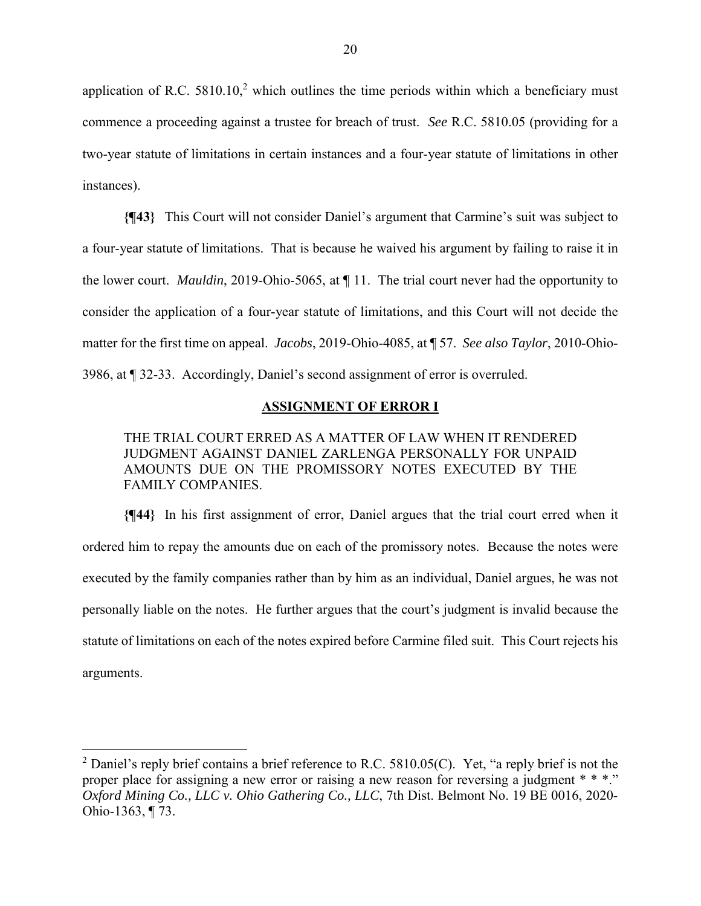application of R.C.  $5810.10$ ,<sup>2</sup> which outlines the time periods within which a beneficiary must commence a proceeding against a trustee for breach of trust. *See* R.C. 5810.05 (providing for a two-year statute of limitations in certain instances and a four-year statute of limitations in other instances).

**{¶43}** This Court will not consider Daniel's argument that Carmine's suit was subject to a four-year statute of limitations. That is because he waived his argument by failing to raise it in the lower court. *Mauldin*, 2019-Ohio-5065, at ¶ 11. The trial court never had the opportunity to consider the application of a four-year statute of limitations, and this Court will not decide the matter for the first time on appeal. *Jacobs*, 2019-Ohio-4085, at ¶ 57. *See also Taylor*, 2010-Ohio-3986, at ¶ 32-33. Accordingly, Daniel's second assignment of error is overruled.

## **ASSIGNMENT OF ERROR I**

THE TRIAL COURT ERRED AS A MATTER OF LAW WHEN IT RENDERED JUDGMENT AGAINST DANIEL ZARLENGA PERSONALLY FOR UNPAID AMOUNTS DUE ON THE PROMISSORY NOTES EXECUTED BY THE FAMILY COMPANIES.

**{¶44}** In his first assignment of error, Daniel argues that the trial court erred when it ordered him to repay the amounts due on each of the promissory notes. Because the notes were executed by the family companies rather than by him as an individual, Daniel argues, he was not personally liable on the notes. He further argues that the court's judgment is invalid because the statute of limitations on each of the notes expired before Carmine filed suit. This Court rejects his arguments.

 $\overline{a}$ 

<sup>&</sup>lt;sup>2</sup> Daniel's reply brief contains a brief reference to R.C. 5810.05(C). Yet, "a reply brief is not the proper place for assigning a new error or raising a new reason for reversing a judgment \* \* \*." *Oxford Mining Co., LLC v. Ohio Gathering Co., LLC*, 7th Dist. Belmont No. 19 BE 0016, 2020- Ohio-1363, ¶ 73.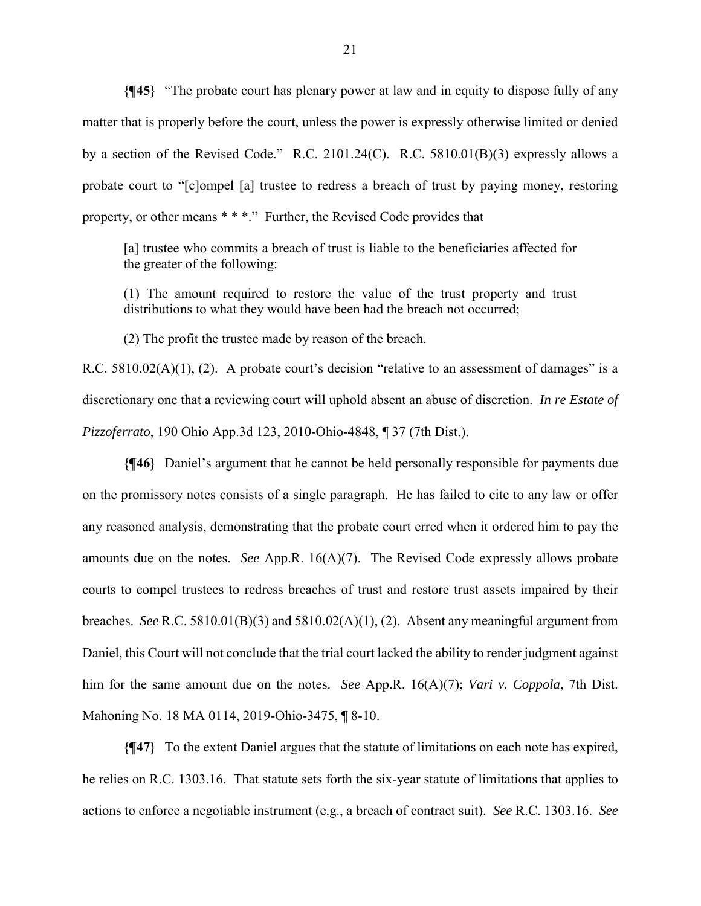**{¶45}** "The probate court has plenary power at law and in equity to dispose fully of any matter that is properly before the court, unless the power is expressly otherwise limited or denied by a section of the Revised Code." R.C. 2101.24(C). R.C. 5810.01(B)(3) expressly allows a probate court to "[c]ompel [a] trustee to redress a breach of trust by paying money, restoring property, or other means \* \* \*." Further, the Revised Code provides that

[a] trustee who commits a breach of trust is liable to the beneficiaries affected for the greater of the following:

(1) The amount required to restore the value of the trust property and trust distributions to what they would have been had the breach not occurred;

(2) The profit the trustee made by reason of the breach.

R.C. 5810.02(A)(1), (2). A probate court's decision "relative to an assessment of damages" is a discretionary one that a reviewing court will uphold absent an abuse of discretion. *In re Estate of Pizzoferrato*, 190 Ohio App.3d 123, 2010-Ohio-4848, ¶ 37 (7th Dist.).

**{¶46}** Daniel's argument that he cannot be held personally responsible for payments due on the promissory notes consists of a single paragraph. He has failed to cite to any law or offer any reasoned analysis, demonstrating that the probate court erred when it ordered him to pay the amounts due on the notes. *See* App.R. 16(A)(7). The Revised Code expressly allows probate courts to compel trustees to redress breaches of trust and restore trust assets impaired by their breaches. *See* R.C. 5810.01(B)(3) and 5810.02(A)(1), (2). Absent any meaningful argument from Daniel, this Court will not conclude that the trial court lacked the ability to render judgment against him for the same amount due on the notes. *See* App.R. 16(A)(7); *Vari v. Coppola*, 7th Dist. Mahoning No. 18 MA 0114, 2019-Ohio-3475, ¶ 8-10.

**{¶47}** To the extent Daniel argues that the statute of limitations on each note has expired, he relies on R.C. 1303.16. That statute sets forth the six-year statute of limitations that applies to actions to enforce a negotiable instrument (e.g., a breach of contract suit). *See* R.C. 1303.16. *See*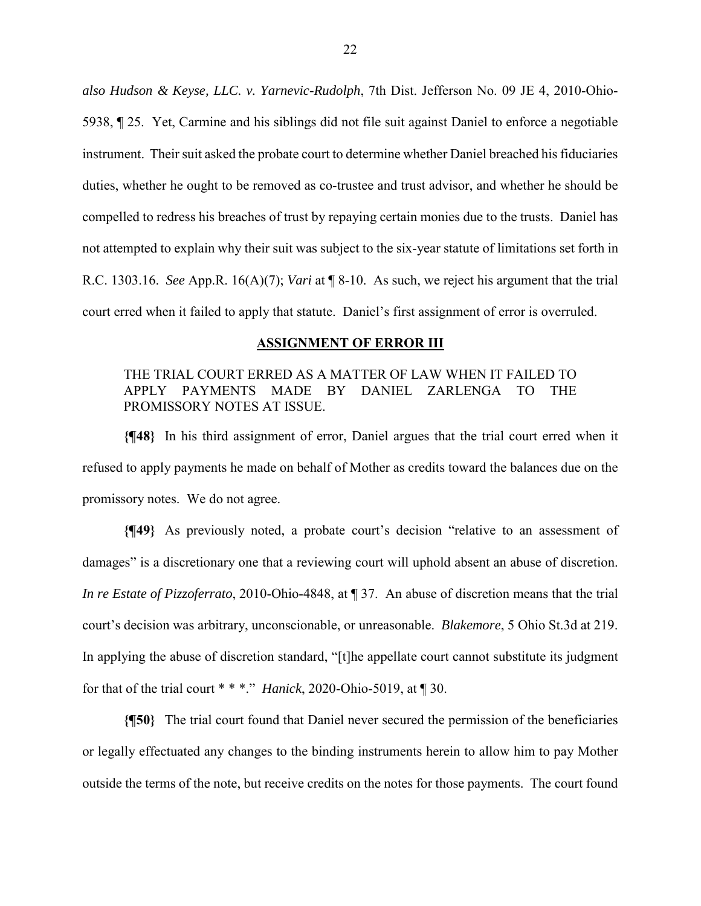*also Hudson & Keyse, LLC. v. Yarnevic-Rudolph*, 7th Dist. Jefferson No. 09 JE 4, 2010-Ohio-5938, ¶ 25. Yet, Carmine and his siblings did not file suit against Daniel to enforce a negotiable instrument. Their suit asked the probate court to determine whether Daniel breached his fiduciaries duties, whether he ought to be removed as co-trustee and trust advisor, and whether he should be compelled to redress his breaches of trust by repaying certain monies due to the trusts. Daniel has not attempted to explain why their suit was subject to the six-year statute of limitations set forth in R.C. 1303.16. *See* App.R. 16(A)(7); *Vari* at ¶ 8-10. As such, we reject his argument that the trial court erred when it failed to apply that statute. Daniel's first assignment of error is overruled.

#### **ASSIGNMENT OF ERROR III**

# THE TRIAL COURT ERRED AS A MATTER OF LAW WHEN IT FAILED TO APPLY PAYMENTS MADE BY DANIEL ZARLENGA TO THE PROMISSORY NOTES AT ISSUE.

**{¶48}** In his third assignment of error, Daniel argues that the trial court erred when it refused to apply payments he made on behalf of Mother as credits toward the balances due on the promissory notes. We do not agree.

**{¶49}** As previously noted, a probate court's decision "relative to an assessment of damages" is a discretionary one that a reviewing court will uphold absent an abuse of discretion. *In re Estate of Pizzoferrato*, 2010-Ohio-4848, at ¶ 37. An abuse of discretion means that the trial court's decision was arbitrary, unconscionable, or unreasonable. *Blakemore*, 5 Ohio St.3d at 219. In applying the abuse of discretion standard, "[t]he appellate court cannot substitute its judgment for that of the trial court \* \* \*." *Hanick*, 2020-Ohio-5019, at ¶ 30.

**{¶50}** The trial court found that Daniel never secured the permission of the beneficiaries or legally effectuated any changes to the binding instruments herein to allow him to pay Mother outside the terms of the note, but receive credits on the notes for those payments. The court found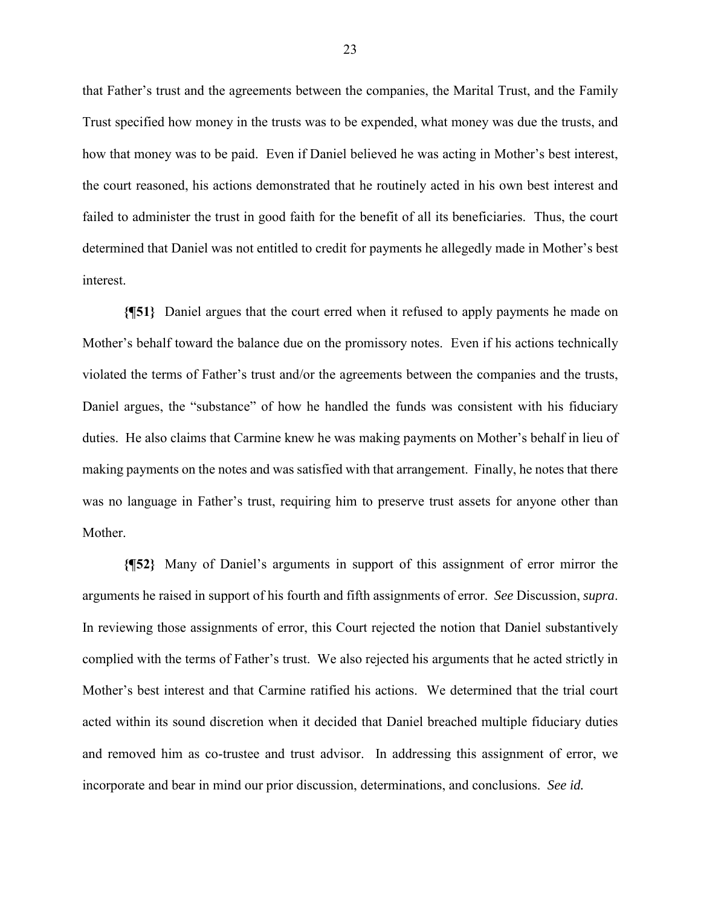that Father's trust and the agreements between the companies, the Marital Trust, and the Family Trust specified how money in the trusts was to be expended, what money was due the trusts, and how that money was to be paid. Even if Daniel believed he was acting in Mother's best interest, the court reasoned, his actions demonstrated that he routinely acted in his own best interest and failed to administer the trust in good faith for the benefit of all its beneficiaries. Thus, the court determined that Daniel was not entitled to credit for payments he allegedly made in Mother's best interest.

**{¶51}** Daniel argues that the court erred when it refused to apply payments he made on Mother's behalf toward the balance due on the promissory notes. Even if his actions technically violated the terms of Father's trust and/or the agreements between the companies and the trusts, Daniel argues, the "substance" of how he handled the funds was consistent with his fiduciary duties. He also claims that Carmine knew he was making payments on Mother's behalf in lieu of making payments on the notes and was satisfied with that arrangement. Finally, he notes that there was no language in Father's trust, requiring him to preserve trust assets for anyone other than Mother.

**{¶52}** Many of Daniel's arguments in support of this assignment of error mirror the arguments he raised in support of his fourth and fifth assignments of error. *See* Discussion, *supra*. In reviewing those assignments of error, this Court rejected the notion that Daniel substantively complied with the terms of Father's trust. We also rejected his arguments that he acted strictly in Mother's best interest and that Carmine ratified his actions. We determined that the trial court acted within its sound discretion when it decided that Daniel breached multiple fiduciary duties and removed him as co-trustee and trust advisor. In addressing this assignment of error, we incorporate and bear in mind our prior discussion, determinations, and conclusions. *See id.*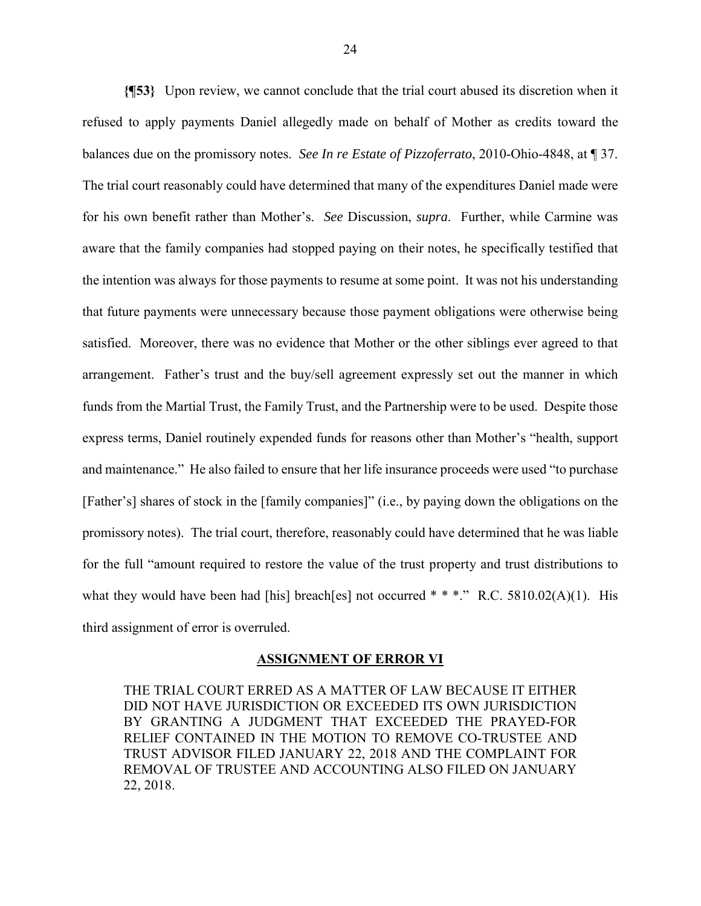**{¶53}** Upon review, we cannot conclude that the trial court abused its discretion when it refused to apply payments Daniel allegedly made on behalf of Mother as credits toward the balances due on the promissory notes. *See In re Estate of Pizzoferrato*, 2010-Ohio-4848, at ¶ 37. The trial court reasonably could have determined that many of the expenditures Daniel made were for his own benefit rather than Mother's. *See* Discussion, *supra*. Further, while Carmine was aware that the family companies had stopped paying on their notes, he specifically testified that the intention was always for those payments to resume at some point. It was not his understanding that future payments were unnecessary because those payment obligations were otherwise being satisfied. Moreover, there was no evidence that Mother or the other siblings ever agreed to that arrangement. Father's trust and the buy/sell agreement expressly set out the manner in which funds from the Martial Trust, the Family Trust, and the Partnership were to be used. Despite those express terms, Daniel routinely expended funds for reasons other than Mother's "health, support and maintenance." He also failed to ensure that her life insurance proceeds were used "to purchase [Father's] shares of stock in the [family companies]" (i.e., by paying down the obligations on the promissory notes). The trial court, therefore, reasonably could have determined that he was liable for the full "amount required to restore the value of the trust property and trust distributions to what they would have been had [his] breach[es] not occurred \* \* \*." R.C. 5810.02(A)(1). His third assignment of error is overruled.

#### **ASSIGNMENT OF ERROR VI**

THE TRIAL COURT ERRED AS A MATTER OF LAW BECAUSE IT EITHER DID NOT HAVE JURISDICTION OR EXCEEDED ITS OWN JURISDICTION BY GRANTING A JUDGMENT THAT EXCEEDED THE PRAYED-FOR RELIEF CONTAINED IN THE MOTION TO REMOVE CO-TRUSTEE AND TRUST ADVISOR FILED JANUARY 22, 2018 AND THE COMPLAINT FOR REMOVAL OF TRUSTEE AND ACCOUNTING ALSO FILED ON JANUARY 22, 2018.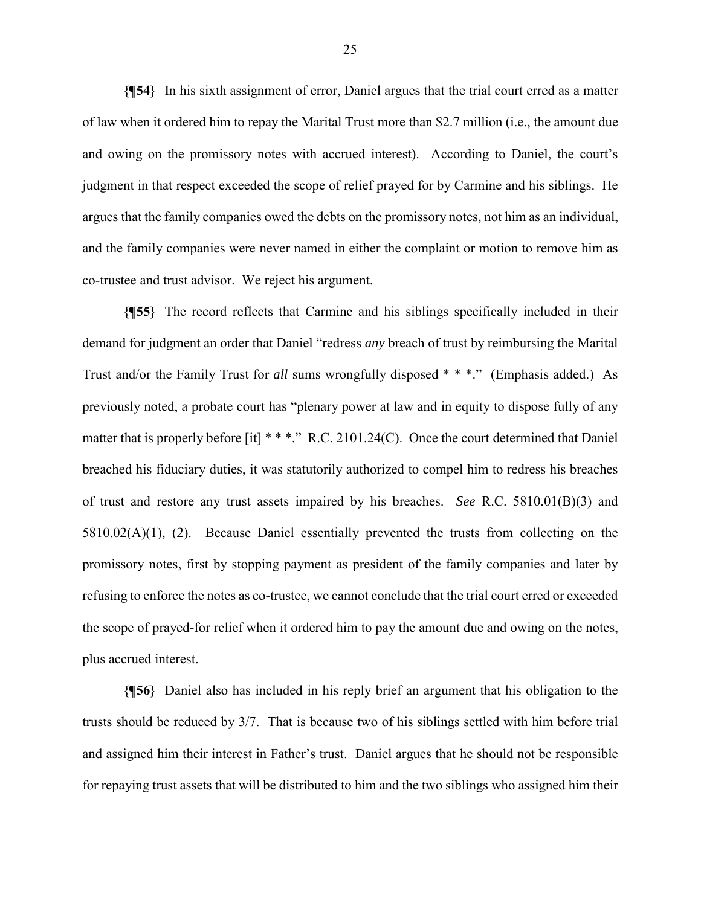**{¶54}** In his sixth assignment of error, Daniel argues that the trial court erred as a matter of law when it ordered him to repay the Marital Trust more than \$2.7 million (i.e., the amount due and owing on the promissory notes with accrued interest). According to Daniel, the court's judgment in that respect exceeded the scope of relief prayed for by Carmine and his siblings. He argues that the family companies owed the debts on the promissory notes, not him as an individual, and the family companies were never named in either the complaint or motion to remove him as co-trustee and trust advisor. We reject his argument.

**{¶55}** The record reflects that Carmine and his siblings specifically included in their demand for judgment an order that Daniel "redress *any* breach of trust by reimbursing the Marital Trust and/or the Family Trust for *all* sums wrongfully disposed \* \* \*." (Emphasis added.) As previously noted, a probate court has "plenary power at law and in equity to dispose fully of any matter that is properly before [it] \* \* \*." R.C. 2101.24(C). Once the court determined that Daniel breached his fiduciary duties, it was statutorily authorized to compel him to redress his breaches of trust and restore any trust assets impaired by his breaches. *See* R.C. 5810.01(B)(3) and 5810.02(A)(1), (2). Because Daniel essentially prevented the trusts from collecting on the promissory notes, first by stopping payment as president of the family companies and later by refusing to enforce the notes as co-trustee, we cannot conclude that the trial court erred or exceeded the scope of prayed-for relief when it ordered him to pay the amount due and owing on the notes, plus accrued interest.

**{¶56}** Daniel also has included in his reply brief an argument that his obligation to the trusts should be reduced by 3/7. That is because two of his siblings settled with him before trial and assigned him their interest in Father's trust. Daniel argues that he should not be responsible for repaying trust assets that will be distributed to him and the two siblings who assigned him their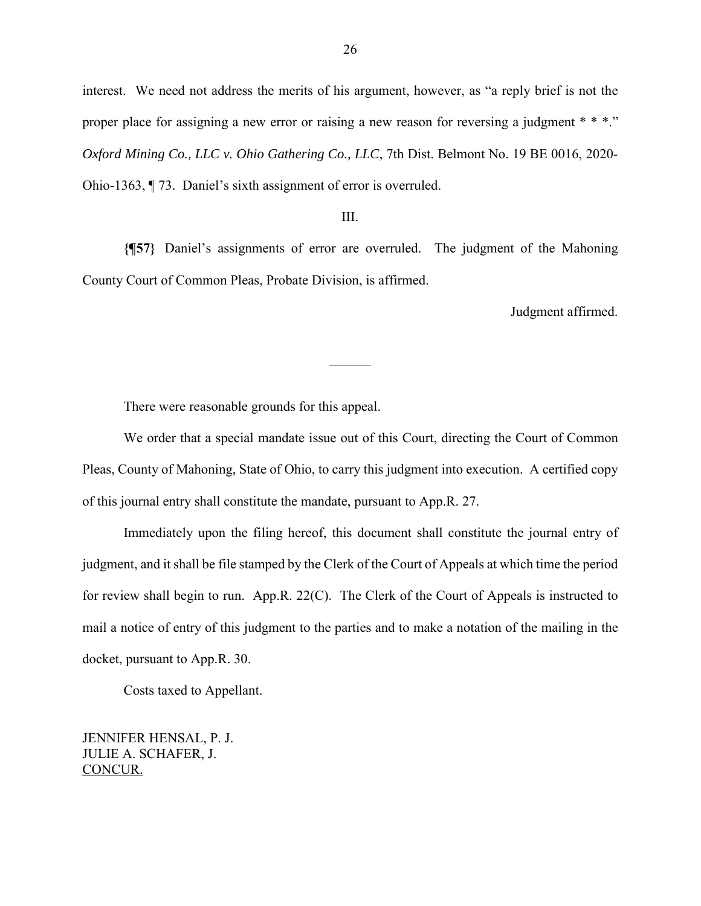interest. We need not address the merits of his argument, however, as "a reply brief is not the proper place for assigning a new error or raising a new reason for reversing a judgment \* \* \*." *Oxford Mining Co., LLC v. Ohio Gathering Co., LLC*, 7th Dist. Belmont No. 19 BE 0016, 2020- Ohio-1363, ¶ 73. Daniel's sixth assignment of error is overruled.

## III.

**{¶57}** Daniel's assignments of error are overruled. The judgment of the Mahoning County Court of Common Pleas, Probate Division, is affirmed.

l

Judgment affirmed.

There were reasonable grounds for this appeal.

 We order that a special mandate issue out of this Court, directing the Court of Common Pleas, County of Mahoning, State of Ohio, to carry this judgment into execution. A certified copy of this journal entry shall constitute the mandate, pursuant to App.R. 27.

 Immediately upon the filing hereof, this document shall constitute the journal entry of judgment, and it shall be file stamped by the Clerk of the Court of Appeals at which time the period for review shall begin to run. App.R. 22(C). The Clerk of the Court of Appeals is instructed to mail a notice of entry of this judgment to the parties and to make a notation of the mailing in the docket, pursuant to App.R. 30.

Costs taxed to Appellant.

JENNIFER HENSAL, P. J. JULIE A. SCHAFER, J. CONCUR.